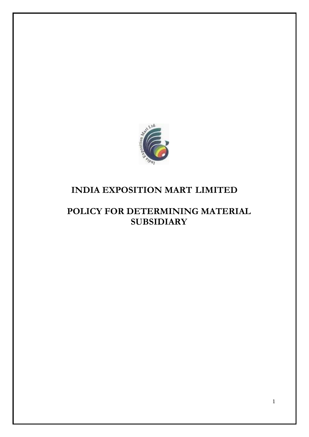

# **INDIA EXPOSITION MART LIMITED**

## **POLICY FOR DETERMINING MATERIAL SUBSIDIARY**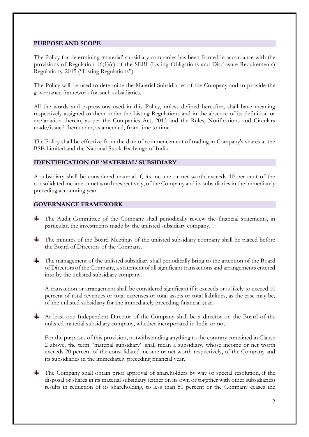## **PURPOSE AND SCOPE**

The Policy for determining 'material' subsidiary companies has been framed in accordance with the provisions of Regulation 16(1)(c) of the SEBI (Listing Obligations and Disclosure Requirements) Regulations, 2015 ("Listing Regulations").

The Policy will be used to determine the Material Subsidiaries of the Company and to provide the governance framework for such subsidiaries.

All the words and expressions used in this Policy, unless defined hereafter, shall have meaning respectively assigned to them under the Listing Regulations and in the absence of its definition or explanation therein, as per the Companies Act, 2013 and the Rules, Notifications and Circulars made/issued thereunder, as amended, from time to time.

The Policy shall be effective from the date of commencement of trading in Company's shares at the BSE Limited and the National Stock Exchange of India.

## **IDENTIFICATION OF 'MATERIAL' SUBSIDIARY**

A subsidiary shall be considered material if, its income or net worth exceeds 10 per cent of the consolidated income or net worth respectively, of the Company and its subsidiaries in the immediately preceding accounting year.

## **GOVERNANCE FRAMEWORK**

- The Audit Committee of the Company shall periodically review the financial statements, in particular, the investments made by the unlisted subsidiary company.
- The minutes of the Board Meetings of the unlisted subsidiary company shall be placed before the Board of Directors of the Company.
- The management of the unlisted subsidiary shall periodically bring to the attention of the Board of Directors of the Company, a statement of all significant transactions and arrangements entered into by the unlisted subsidiary company.

A transaction or arrangement shall be considered significant if it exceeds or is likely to exceed 10 percent of total revenues or total expenses or total assets or total liabilities, as the case may be, of the unlisted subsidiary for the immediately preceding financial year.

At least one Independent Director of the Company shall be a director on the Board of the unlisted material subsidiary company, whether incorporated in India or not.

For the purposes of this provision, notwithstanding anything to the contrary contained in Clause 2 above, the term "material subsidiary" shall mean a subsidiary, whose income or net worth exceeds 20 percent of the consolidated income or net worth respectively, of the Company and its subsidiaries in the immediately preceding financial year.

The Company shall obtain prior approval of shareholders by way of special resolution, if the disposal of shares in its material subsidiary (either on its own or together with other subsidiaries) results in reduction of its shareholding, to less than 50 percent or the Company ceases the